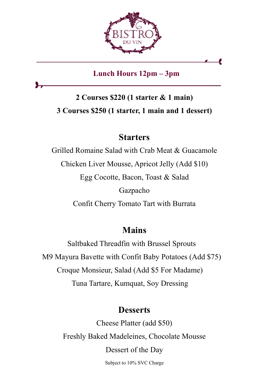

Lunch Hours 12pm – 3pm

# 2 Courses \$220 (1 starter & 1 main) 3 Courses \$250 (1 starter, 1 main and 1 dessert)

### **Starters**

Grilled Romaine Salad with Crab Meat & Guacamole Chicken Liver Mousse, Apricot Jelly (Add \$10) Egg Cocotte, Bacon, Toast & Salad Gazpacho Confit Cherry Tomato Tart with Burrata

## Mains

Saltbaked Threadfin with Brussel Sprouts M9 Mayura Bavette with Confit Baby Potatoes (Add \$75) Croque Monsieur, Salad (Add \$5 For Madame) Tuna Tartare, Kumquat, Soy Dressing

## **Desserts**

Cheese Platter (add \$50) Freshly Baked Madeleines, Chocolate Mousse Dessert of the Day Subject to 10% SVC Charge